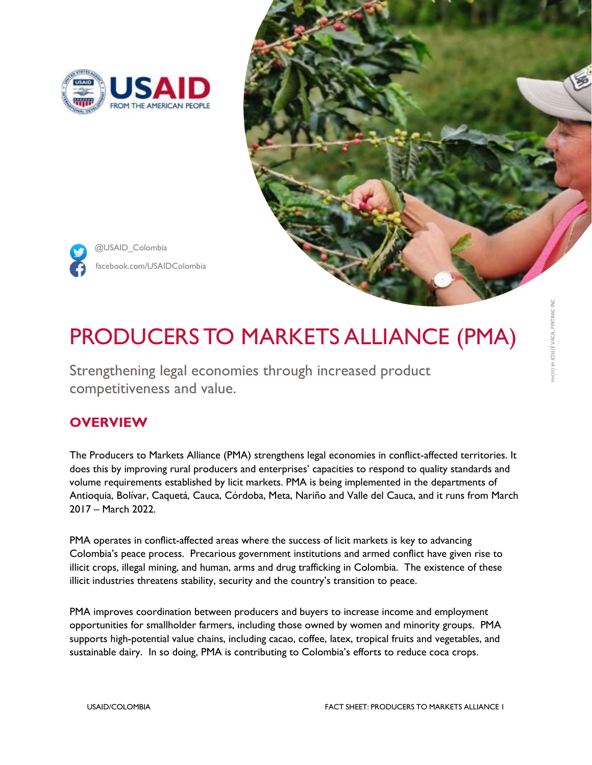



# PRODUCERS TO MARKETS ALLIANCE (PMA)

Strengthening legal economies through increased product competitiveness and value.

## **OVERVIEW**

The Producers to Markets Alliance (PMA) strengthens legal economies in conflict-affected territories. It does this by improving rural producers and enterprises' capacities to respond to quality standards and volume requirements established by licit markets. PMA is being implemented in the departments of Antioquia, Bolívar, Caquetá, Cauca, Córdoba, Meta, Nariño and Valle del Cauca, and it runs from March 2017 – March 2022.

PMA operates in conflict-affected areas where the success of licit markets is key to advancing Colombia's peace process. Precarious government institutions and armed conflict have given rise to illicit crops, illegal mining, and human, arms and drug trafficking in Colombia. The existence of these illicit industries threatens stability, security and the country's transition to peace.

PMA improves coordination between producers and buyers to increase income and employment opportunities for smallholder farmers, including those owned by women and minority groups. PMA supports high-potential value chains, including cacao, coffee, latex, tropical fruits and vegetables, and sustainable dairy. In so doing, PMA is contributing to Colombia's efforts to reduce coca crops.